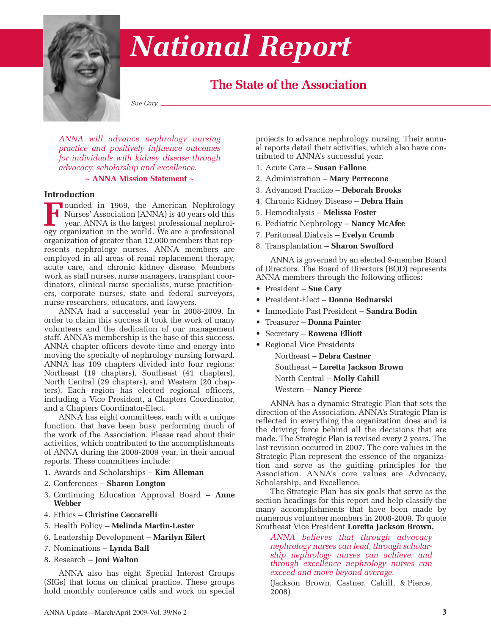

# *National Report*

# **The State of the Association**

*Sue Cary*

*ANNA will advance nephrology nursing practice and positively influence outcomes for individuals with kidney disease through advocacy, scholarship and excellence.*

**~ ANNA Mission Statement ~**

#### **Introduction**

Founded in 1969, the American Nephrology<br>Nurses' Association (ANNA) is 40 years old this<br>year. ANNA is the largest professional nephrology<br>organization in the world. We are a professional Nurses' Association (ANNA) is 40 years old this year. ANNA is the largest professional nephrology organization in the world. We are a professional organization of greater than 12,000 members that represents nephrology nurses. ANNA members are employed in all areas of renal replacement therapy, acute care, and chronic kidney disease. Members work as staff nurses, nurse managers, transplant coordinators, clinical nurse specialists, nurse practitioners, corporate nurses, state and federal surveyors, nurse researchers, educators, and lawyers.

ANNA had a successful year in 2008-2009. In order to claim this success it took the work of many volunteers and the dedication of our management staff. ANNA's membership is the base of this success. ANNA chapter officers devote time and energy into moving the specialty of nephrology nursing forward. ANNA has 109 chapters divided into four regions: Northeast (19 chapters), Southeast (41 chapters), North Central (29 chapters), and Western (20 chapters). Each region has elected regional officers, including a Vice President, a Chapters Coordinator, and a Chapters Coordinator-Elect.

ANNA has eight committees, each with a unique function, that have been busy performing much of the work of the Association. Please read about their activities, which contributed to the accomplishments of ANNA during the 2008-2009 year, in their annual reports. These committees include:

- 1. Awards and Scholarships **Kim Alleman**
- 2. Conferences **Sharon Longton**
- 3. Continuing Education Approval Board **Anne Webber**
- 4. Ethics **Christine Ceccarelli**
- 5. Health Policy **Melinda Martin-Lester**
- 6. Leadership Development **Marilyn Eilert**
- 7. Nominations **Lynda Ball**
- 8. Research **Joni Walton**

ANNA also has eight Special Interest Groups (SIGs) that focus on clinical practice. These groups hold monthly conference calls and work on special projects to advance nephrology nursing. Their annual reports detail their activities, which also have contributed to ANNA's successful year.

- 1. Acute Care **Susan Fallone**
- 2. Administration **Mary Perrecone**
- 3. Advanced Practice **Deborah Brooks**
- 4. Chronic Kidney Disease **Debra Hain**
- 5. Hemodialysis **Melissa Foster**
- 6. Pediatric Nephrology **Nancy McAfee**
- 7. Peritoneal Dialysis **Evelyn Crumb**
- 8. Transplantation **Sharon Swofford**

ANNA is governed by an elected 9-member Board of Directors. The Board of Directors (BOD) represents ANNA members through the following offices:

- President **Sue Cary**
- President-Elect **Donna Bednarski**
- Immediate Past President **Sandra Bodin**
- Treasurer **Donna Painter**
- Secretary **Rowena Elliott**
- Regional Vice Presidents

Northeast – **Debra Castner** Southeast – **Loretta Jackson Brown** North Central – **Molly Cahill** Western – **Nancy Pierce**

ANNA has a dynamic Strategic Plan that sets the direction of the Association. ANNA's Strategic Plan is reflected in everything the organization does and is the driving force behind all the decisions that are made. The Strategic Plan is revised every 2 years. The last revision occurred in 2007. The core values in the Strategic Plan represent the essence of the organization and serve as the guiding principles for the Association. ANNA's core values are Advocacy, Scholarship, and Excellence.

The Strategic Plan has six goals that serve as the section headings for this report and help classify the many accomplishments that have been made by numerous volunteer members in 2008-2009. To quote Southeast Vice President **Loretta Jackson Brown,**

*ANNA believes that through advocacy nephrology nurses can lead, through scholarship nephrology nurses can achieve, and through excellence nephrology nurses can exceed and move beyond average.*

(Jackson Brown, Castner, Cahill, & Pierce, 2008)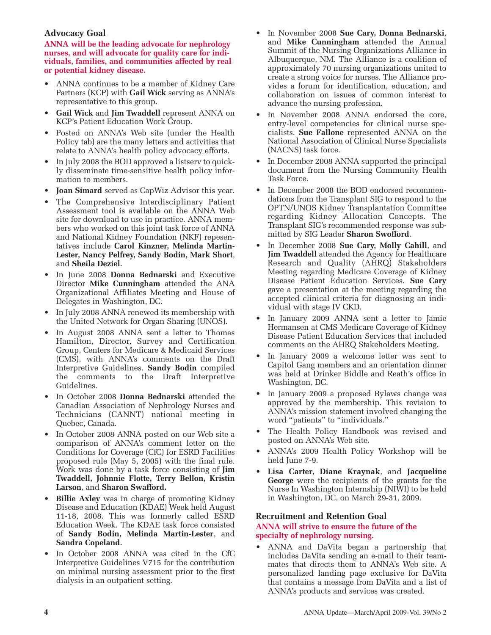### **Advocacy Goal**

**ANNA will be the leading advocate for nephrology nurses, and will advocate for quality care for individuals, families, and communities affected by real or potential kidney disease.**

- ANNA continues to be a member of Kidney Care Partners (KCP) with **Gail Wick** serving as ANNA's representative to this group.
- **Gail Wick** and **Jim Twaddell** represent ANNA on KCP's Patient Education Work Group.
- Posted on ANNA's Web site (under the Health Policy tab) are the many letters and activities that relate to ANNA's health policy advocacy efforts.
- In July 2008 the BOD approved a listserv to quickly disseminate time-sensitive health policy information to members.
- **Joan Simard** served as CapWiz Advisor this year.
- The Comprehensive Interdisciplinary Patient Assessment tool is available on the ANNA Web site for download to use in practice. ANNA members who worked on this joint task force of ANNA and National Kidney Foundation (NKF) repesentatives include **Carol Kinzner, Melinda Martin-Lester, Nancy Pelfrey, Sandy Bodin, Mark Short**, and **Sheila Deziel.**
- In June 2008 **Donna Bednarski** and Executive Director **Mike Cunningham** attended the ANA Organizational Affiliates Meeting and House of Delegates in Washington, DC.
- In July 2008 ANNA renewed its membership with the United Network for Organ Sharing (UNOS).
- In August 2008 ANNA sent a letter to Thomas Hamilton, Director, Survey and Certification Group, Centers for Medicare & Medicaid Services (CMS), with ANNA's comments on the Draft Interpretive Guidelines. **Sandy Bodin** compiled the comments to the Draft Interpretive Guidelines.
- In October 2008 **Donna Bednarski** attended the Canadian Association of Nephrology Nurses and Technicians (CANNT) national meeting in Quebec, Canada.
- In October 2008 ANNA posted on our Web site a comparison of ANNA's comment letter on the Conditions for Coverage (CfC) for ESRD Facilities proposed rule (May 5, 2005) with the final rule. Work was done by a task force consisting of **Jim Twaddell, Johnnie Flotte, Terry Bellon, Kristin Larson**, and **Sharon Swafford.**
- **Billie Axley** was in charge of promoting Kidney Disease and Education (KDAE) Week held August 11-18, 2008. This was formerly called ESRD Education Week. The KDAE task force consisted of **Sandy Bodin, Melinda Martin-Lester**, and **Sandra Copeland.**
- In October 2008 ANNA was cited in the CfC Interpretive Guidelines V715 for the contribution on minimal nursing assessment prior to the first dialysis in an outpatient setting.
- In November 2008 **Sue Cary, Donna Bednarski**, and **Mike Cunningham** attended the Annual Summit of the Nursing Organizations Alliance in Albuquerque, NM. The Alliance is a coalition of approximately 70 nursing organizations united to create a strong voice for nurses. The Alliance provides a forum for identification, education, and collaboration on issues of common interest to advance the nursing profession.
- In November 2008 ANNA endorsed the core, entry-level competencies for clinical nurse specialists. **Sue Fallone** represented ANNA on the National Association of Clinical Nurse Specialists (NACNS) task force.
- In December 2008 ANNA supported the principal document from the Nursing Community Health Task Force.
- In December 2008 the BOD endorsed recommendations from the Transplant SIG to respond to the OPTN/UNOS Kidney Transplantation Committee regarding Kidney Allocation Concepts. The Transplant SIG's recommended response was submitted by SIG Leader **Sharon Swofford**.
- In December 2008 Sue Cary, Molly Cahill, and **Jim Twaddell** attended the Agency for Healthcare Research and Quality (AHRQ) Stakeholders Meeting regarding Medicare Coverage of Kidney Disease Patient Education Services. **Sue Cary** gave a presentation at the meeting regarding the accepted clinical criteria for diagnosing an individual with stage IV CKD.
- In January 2009 ANNA sent a letter to Jamie Hermansen at CMS Medicare Coverage of Kidney Disease Patient Education Services that included comments on the AHRQ Stakeholders Meeting.
- In January 2009 a welcome letter was sent to Capitol Gang members and an orientation dinner was held at Drinker Biddle and Reath's office in Washington, DC.
- In January 2009 a proposed Bylaws change was approved by the membership. This revision to ANNA's mission statement involved changing the word "patients" to "individuals."
- The Health Policy Handbook was revised and posted on ANNA's Web site.
- ANNA's 2009 Health Policy Workshop will be held June 7-9.
- **Lisa Carter, Diane Kraynak**, and **Jacqueline George** were the recipients of the grants for the Nurse In Washington Internship (NIWI) to be held in Washington, DC, on March 29-31, 2009.

#### **Recruitment and Retention Goal**

#### **ANNA will strive to ensure the future of the specialty of nephrology nursing.**

• ANNA and DaVita began a partnership that includes DaVita sending an e-mail to their teammates that directs them to ANNA's Web site. A personalized landing page exclusive for DaVita that contains a message from DaVita and a list of ANNA's products and services was created.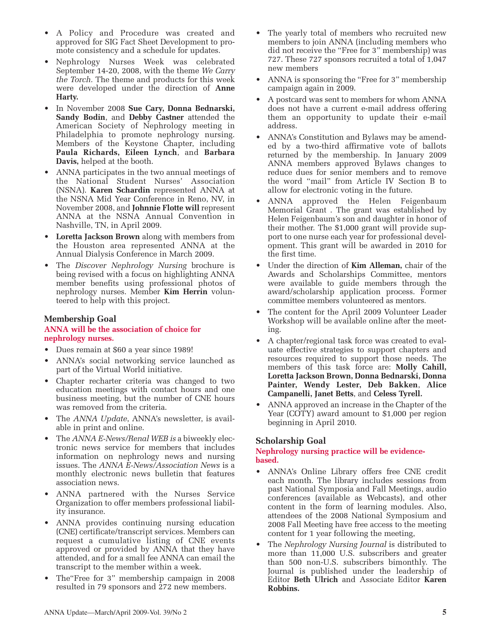- A Policy and Procedure was created and approved for SIG Fact Sheet Development to promote consistency and a schedule for updates.
- Nephrology Nurses Week was celebrated September 14-20, 2008, with the theme *We Carry the Torch.* The theme and products for this week were developed under the direction of **Anne Harty.**
- In November 2008 **Sue Cary, Donna Bednarski, Sandy Bodin**, and **Debby Castner** attended the American Society of Nephrology meeting in Philadelphia to promote nephrology nursing. Members of the Keystone Chapter, including **Paula Richards, Eileen Lynch**, and **Barbara Davis,** helped at the booth.
- ANNA participates in the two annual meetings of the National Student Nurses' Association (NSNA). **Karen Schardin** represented ANNA at the NSNA Mid Year Conference in Reno, NV, in November 2008, and **Johnnie Flotte will** represent ANNA at the NSNA Annual Convention in Nashville, TN, in April 2009.
- **Loretta Jackson Brown** along with members from the Houston area represented ANNA at the Annual Dialysis Conference in March 2009.
- The *Discover Nephrology Nursing* brochure is being revised with a focus on highlighting ANNA member benefits using professional photos of nephrology nurses. Member **Kim Herrin** volunteered to help with this project.

#### **Membership Goal**

#### **ANNA will be the association of choice for nephrology nurses.**

- Dues remain at \$60 a year since 1989!
- ANNA's social networking service launched as part of the Virtual World initiative.
- Chapter recharter criteria was changed to two education meetings with contact hours and one business meeting, but the number of CNE hours was removed from the criteria.
- The *ANNA Update*, ANNA's newsletter, is available in print and online.
- The *ANNA E-News/Renal WEB is* a biweekly electronic news service for members that includes information on nephrology news and nursing issues. The *ANNA E-News/Association News* is a monthly electronic news bulletin that features association news.
- ANNA partnered with the Nurses Service Organization to offer members professional liability insurance.
- ANNA provides continuing nursing education (CNE) certificate/transcript services. Members can request a cumulative listing of CNE events approved or provided by ANNA that they have attended, and for a small fee ANNA can email the transcript to the member within a week.
- The"Free for 3" membership campaign in 2008 resulted in 79 sponsors and 272 new members.
- The yearly total of members who recruited new members to join ANNA (including members who did not receive the "Free for 3" membership) was 727. These 727 sponsors recruited a total of 1,047 new members
- ANNA is sponsoring the "Free for 3" membership campaign again in 2009.
- A postcard was sent to members for whom ANNA does not have a current e-mail address offering them an opportunity to update their e-mail address.
- ANNA's Constitution and Bylaws may be amended by a two-third affirmative vote of ballots returned by the membership. In January 2009 ANNA members approved Bylaws changes to reduce dues for senior members and to remove the word "mail" from Article IV Section B to allow for electronic voting in the future.
- ANNA approved the Helen Feigenbaum Memorial Grant . The grant was established by Helen Feigenbaum's son and daughter in honor of their mother. The \$1,000 grant will provide support to one nurse each year for professional development. This grant will be awarded in 2010 for the first time.
- Under the direction of **Kim Alleman,** chair of the Awards and Scholarships Committee, mentors were available to guide members through the award/scholarship application process. Former committee members volunteered as mentors.
- The content for the April 2009 Volunteer Leader Workshop will be available online after the meeting.
- A chapter/regional task force was created to evaluate effective strategies to support chapters and resources required to support those needs. The members of this task force are: **Molly Cahill, Loretta Jackson Brown, Donna Bednarski, Donna Painter, Wendy Lester, Deb Bakken**, **Alice Campanelli, Janet Betts**, and **Celess Tyrell.**
- ANNA approved an increase in the Chapter of the Year (COTY) award amount to \$1,000 per region beginning in April 2010.

# **Scholarship Goal**

#### **Nephrology nursing practice will be evidencebased.**

- ANNA's Online Library offers free CNE credit each month. The library includes sessions from past National Symposia and Fall Meetings, audio conferences (available as Webcasts), and other content in the form of learning modules. Also, attendees of the 2008 National Symposium and 2008 Fall Meeting have free access to the meeting content for 1 year following the meeting,
- The *Nephrology Nursing Journal* is distributed to more than 11,000 U.S. subscribers and greater than 500 non-U.S. subscribers bimonthly. The Journal is published under the leadership of Editor **Beth Ulrich** and Associate Editor **Karen Robbins.**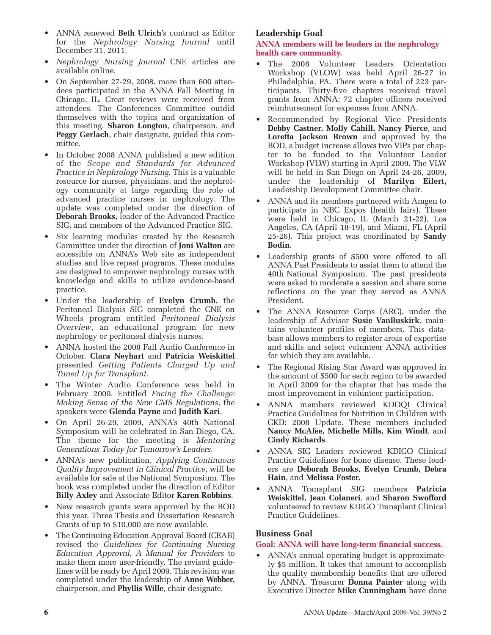- ANNA renewed **Beth Ulrich**'s contract as Editor for the *Nephrology Nursing Journal* until December 31, 2011.
- *Nephrology Nursing Journal* CNE articles are available online.
- On September 27-29, 2008, more than 600 attendees participated in the ANNA Fall Meeting in Chicago, IL. Great reviews were received from attendees. The Conferences Committee outdid themselves with the topics and organization of this meeting. **Sharon Longton**, chairperson, and **Peggy Gerlach**, chair designate, guided this committee.
- In October 2008 ANNA published a new edition of the *Scope and Standards for Advanced Practice in Nephrology Nursing.* This is a valuable resource for nurses, physicians, and the nephrology community at large regarding the role of advanced practice nurses in nephrology. The update was completed under the direction of **Deborah Brooks,** leader of the Advanced Practice SIG, and members of the Advanced Practice SIG.
- Six learning modules created by the Research Committee under the direction of **Joni Walton** are accessible on ANNA's Web site as independent studies and live repeat programs. These modules are designed to empower nephrology nurses with knowledge and skills to utilize evidence-based practice.
- Under the leadership of **Evelyn Crumb**, the Peritoneal Dialysis SIG completed the CNE on Wheels program entitled *Peritoneal Dialysis Overview*, an educational program for new nephrology or peritoneal dialysis nurses.
- ANNA hosted the 2008 Fall Audio Conference in October. **Clara Neyhart** and **Patricia Weiskittel** presented *Getting Patients Charged Up and Tuned Up for Transplant.*
- The Winter Audio Conference was held in February 2009. Entitled *Facing the Challenge: Making Sense of the New CMS Regulations,* the speakers were **Glenda Payne** and **Judith Kari**.
- On April 26-29, 2009, ANNA's 40th National Symposium will be celebrated in San Diego, CA. The theme for the meeting is *Mentoring Generations Today for Tomorrow's Leaders.*
- ANNA's new publication, *Applying Continuous Quality Improvement in Clinical Practice*, will be available for sale at the National Symposium. The book was completed under the direction of Editor **Billy Axley** and Associate Editor **Karen Robbins**.
- New research grants were approved by the BOD this year. Three Thesis and Dissertation Research Grants of up to \$10,000 are now available.
- The Continuing Education Approval Board (CEAB) revised the *Guidelines for Continuing Nursing Education Approval, A Manual for Providers* to make them more user-friendly. The revised guidelines will be ready by April 2009. This revision was completed under the leadership of **Anne Webber,** chairperson, and **Phyllis Wille**, chair designate.

# **Leadership Goal**

#### **ANNA members will be leaders in the nephrology health care community.**

- The 2008 Volunteer Leaders Orientation Workshop (VLOW) was held April 26-27 in Philadelphia, PA. There were a total of 223 participants. Thirty-five chapters received travel grants from ANNA; 72 chapter officers received reimbursement for expenses from ANNA.
- Recommended by Regional Vice Presidents **Debby Castner, Molly Cahill, Nancy Pierce**, and **Loretta Jackson Brown** and approved by the BOD, a budget increase allows two VIPs per chapter to be funded to the Volunteer Leader Workshop (VLW) starting in April 2009. The VLW will be held in San Diego on April 24-26, 2009, under the leadership of **Marilyn Eilert,** Leadership Development Committee chair.
- ANNA and its members partnered with Amgen to participate in NBC Expos (health fairs). These were held in Chicago, IL (March 21-22), Los Angeles, CA (April 18-19), and Miami, FL (April 25-26). This project was coordinated by **Sandy Bodin**.
- Leadership grants of \$500 were offered to all ANNA Past Presidents to assist them to attend the 40th National Symposium. The past presidents were asked to moderate a session and share some reflections on the year they served as ANNA President.
- The ANNA Resource Corps (ARC), under the leadership of Advisor **Susie VanBuskirk**, maintains volunteer profiles of members. This database allows members to register areas of expertise and skills and select volunteer ANNA activities for which they are available.
- The Regional Rising Star Award was approved in the amount of \$500 for each region to be awarded in April 2009 for the chapter that has made the most improvement in volunteer participation.
- ANNA members reviewed KDOQI Clinical Practice Guidelines for Nutrition in Children with CKD: 2008 Update. These members included **Nancy McAfee, Michelle Mills, Kim Windt**, and **Cindy Richards**.
- ANNA SIG Leaders reviewed KDIGO Clinical Practice Guidelines for bone disease. These leaders are **Deborah Brooks, Evelyn Crumb, Debra Hain**, and **Melissa Foster.**
- ANNA Transplant SIG members **Patricia Weiskittel, Jean Colaneri**, and **Sharon Swofford** volunteered to review KDIGO Transplant Clinical Practice Guidelines.

# **Business Goal**

# **Goal: ANNA will have long-term financial success.**

• ANNA's annual operating budget is approximately \$5 million. It takes that amount to accomplish the quality membership benefits that are offered by ANNA. Treasurer **Donna Painter** along with Executive Director **Mike Cunningham** have done